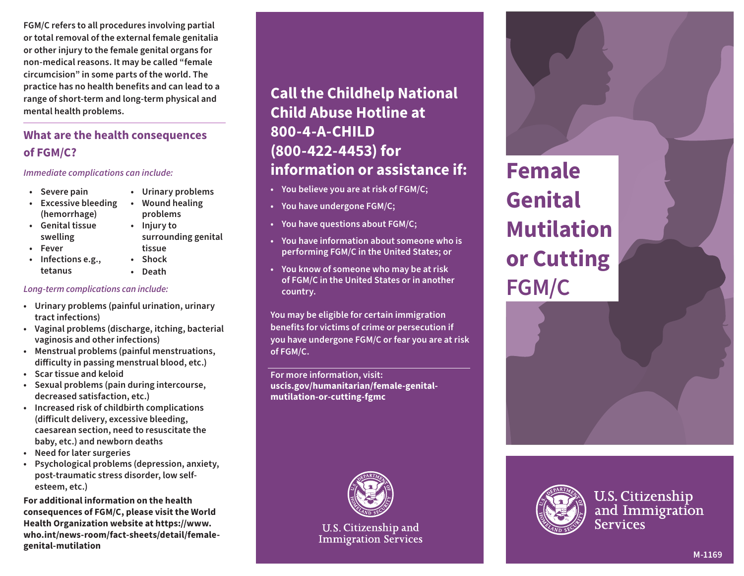**FGM/C refers to all procedures involving partial or total removal of the external female genitalia or other injury to the female genital organs for non-medical reasons. It may be called "female circumcision" in some parts of the world. The practice has no health benefits and can lead to a range of short-term and long-term physical and mental health problems.**

## **What are the health consequences of FGM/C?**

#### *Immediate complications can include:*

- 
- **Severe pain Urinary problems**
- **Excessive bleeding Wound healing (hemorrhage) problems**
- **Genital tissue Injury to swelling surrounding genital**
- **Fever tissue**
- **Infections e.g., Shock tetanus • Death**
	-

*Long-term complications can include:* 

- **Urinary problems (painful urination, urinary tract infections)**
- **Vaginal problems (discharge, itching, bacterial vaginosis and other infections)**
- **Menstrual problems (painful menstruations, difficulty in passing menstrual blood, etc.)**
- **Scar tissue and keloid**
- **Sexual problems (pain during intercourse, decreased satisfaction, etc.)**
- **Increased risk of childbirth complications (difficult delivery, excessive bleeding, caesarean section, need to resuscitate the baby, etc.) and newborn deaths**
- **Need for later surgeries**
- **Psychological problems (depression, anxiety, post-traumatic stress disorder, low selfesteem, etc.)**

**For additional information on the health consequences of FGM/C, please visit the World Health Organization website at https://www. who.int/news-room/fact-sheets/detail/femalegenital-mutilation**

# **Call the Childhelp National Child Abuse Hotline at 800-4-A-CHILD (800-422-4453) for information or assistance if:**

- **You believe you are at risk of FGM/C;**
- **You have undergone FGM/C;**
- **You have questions about FGM/C;**
- **You have information about someone who is performing FGM/C in the United States; or**
- **You know of someone who may be at risk of FGM/C in the United States or in another country.**

**You may be eligible for certain immigration benefits for victims of crime or persecution if you have undergone FGM/C or fear you are at risk of FGM/C.**

**For more information, visit: uscis.gov/humanitarian/female-genitalmutilation-or-cutting-fgmc**



U.S. Citizenship and **Immigration Services** 

**Female Genital Mutilation or Cutting FGM/C**



**U.S. Citizenship** and Immigration **Services**